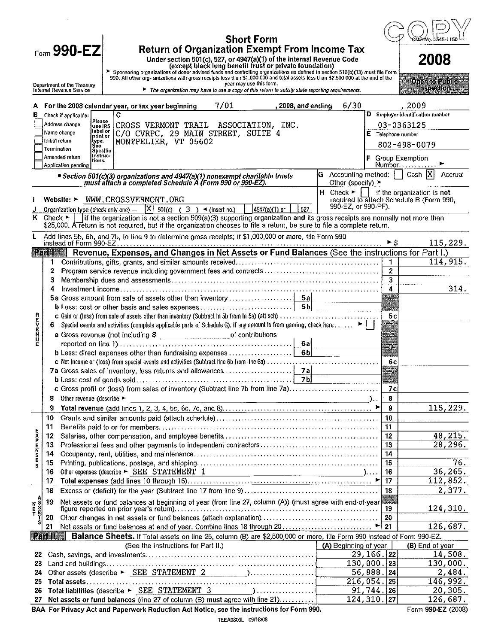|                      | <b>Short Form</b>                                                                                                                                                                                                                                                    |                      | GMB∕No I                                                                                               |
|----------------------|----------------------------------------------------------------------------------------------------------------------------------------------------------------------------------------------------------------------------------------------------------------------|----------------------|--------------------------------------------------------------------------------------------------------|
|                      | Form 990-EZ<br><b>Return of Organization Exempt From Income Tax</b>                                                                                                                                                                                                  |                      |                                                                                                        |
|                      | Under section 501(c), 527, or 4947(a)(1) of the Internal Revenue Code<br>(except black lung benefit trust or private foundation)                                                                                                                                     |                      | 2008                                                                                                   |
|                      | > Sponsoring organizations of donor advised funds and controlling organizations as defined in section 512(b)(13) must file Form<br>990. All other org- anizations with gross receipts less than \$1,000,000 and total assets less than \$2,500,000 at the end of the |                      |                                                                                                        |
|                      | year may use this form.<br>Department of the Treasury<br>Internal Revenue Service<br>The organization may have to use a copy of this return to satisfy state reporting requirements.                                                                                 |                      | <b>Open to Public</b><br><b>Inspection</b>                                                             |
|                      | 7/01<br>6/30<br>A For the 2008 calendar year, or tax year beginning<br>, 2008, and ending                                                                                                                                                                            |                      | 2009                                                                                                   |
| в                    | С<br>Check if applicable:                                                                                                                                                                                                                                            |                      | D Employer identification number                                                                       |
|                      | Please<br>Address change<br>CROSS VERMONT TRAIL ASSOCIATION, INC.<br>use IRS<br>llabel or                                                                                                                                                                            |                      | 03-0363125                                                                                             |
|                      | C/O CVRPC, 29 MAIN STREET, SUITE 4<br>Name change<br>print or<br>MONTPELIER, VT 05602<br>Initial return<br>itype.                                                                                                                                                    | $E$ Telephone number |                                                                                                        |
|                      | See<br>Termination<br>Specific                                                                                                                                                                                                                                       |                      | 802-498-0079                                                                                           |
|                      | Instruc-<br>Amended return<br>tions.                                                                                                                                                                                                                                 |                      | F Group Exemption                                                                                      |
|                      | Application pending<br>$ G \text{ According method: }  $<br>• Section 501(c)(3) organizations and 4947(a)(1) nonexempt charitable trusts                                                                                                                             |                      | Number.<br>Cash  X <br>Accrual                                                                         |
|                      | must attach a completed Schedule A (Form 990 or 990-EZ).<br>Other (specify) ▶                                                                                                                                                                                        |                      |                                                                                                        |
|                      | Website: > WWW.CROSSVERMONT.ORG                                                                                                                                                                                                                                      |                      | H Check $\blacktriangleright$   if the organization is not<br>required to attach Schedule B (Form 990, |
|                      | 990-EZ, or 990-PF).<br><b>Organization type (check only one)</b> $  X $ 501(c) ( 3 ) $\triangleleft$ (insert no.)<br>$ $ 4947(a)(1) or $ $<br>527                                                                                                                    |                      |                                                                                                        |
|                      | if the organization is not a section 509(a)(3) supporting organization and its gross receipts are normally not more than<br>$K$ Check $\blacktriangleright$                                                                                                          |                      |                                                                                                        |
|                      | \$25,000. A return is not required, but if the organization chooses to file a return, be sure to file a complete return.                                                                                                                                             |                      |                                                                                                        |
| L                    | Add lines 5b, 6b, and 7b, to line 9 to determine gross receipts; if \$1,000,000 or more, file Form 990                                                                                                                                                               | ►s                   | 115, 229.                                                                                              |
|                      | Revenue, Expenses, and Changes in Net Assets or Fund Balances (See the instructions for Part I.)<br><b>Part 1</b>                                                                                                                                                    |                      |                                                                                                        |
|                      | $\mathbf{1}$                                                                                                                                                                                                                                                         | $\overline{1}$       | 114, 915.                                                                                              |
|                      | 2                                                                                                                                                                                                                                                                    | $\overline{2}$       |                                                                                                        |
|                      | з                                                                                                                                                                                                                                                                    | 3<br>4               | 314.                                                                                                   |
|                      | 4                                                                                                                                                                                                                                                                    |                      |                                                                                                        |
|                      |                                                                                                                                                                                                                                                                      |                      |                                                                                                        |
|                      | c Gain or (loss) from sale of assets other than inventory (Subtract In 5b from In 5a) (att sch)                                                                                                                                                                      | 5c                   |                                                                                                        |
| ロスドルドリ               | Special events and activities (complete applicable parts of Schedule G). If any amount is from gaming, check here $\blacktriangleright \ \ \cdot\ $<br>6.                                                                                                            |                      |                                                                                                        |
|                      | a Gross revenue (not including \$ ____________________________of contributions                                                                                                                                                                                       |                      |                                                                                                        |
| Е                    | 6a<br>6 <sub>b</sub><br><b>b</b> Less: direct expenses other than fundraising expenses                                                                                                                                                                               |                      |                                                                                                        |
|                      |                                                                                                                                                                                                                                                                      | 6c                   |                                                                                                        |
|                      |                                                                                                                                                                                                                                                                      |                      |                                                                                                        |
|                      | $\overline{\phantom{0}}$ 7b<br><b>b</b> Less: cost of goods sold                                                                                                                                                                                                     |                      |                                                                                                        |
|                      | c Gross profit or (loss) from sales of inventory (Subtract line 7b from line 7a)                                                                                                                                                                                     | 7c                   |                                                                                                        |
|                      | Other revenue (describe $\blacktriangleright$<br>$\overline{\phantom{a}}$ )<br>8<br>9                                                                                                                                                                                | 8<br>- 9             | 115,229.                                                                                               |
|                      | 10                                                                                                                                                                                                                                                                   | 10                   |                                                                                                        |
|                      | 11                                                                                                                                                                                                                                                                   | 11                   |                                                                                                        |
| <b>EXPENSE</b>       | 12                                                                                                                                                                                                                                                                   | 12                   | 48, 215.                                                                                               |
|                      | 13                                                                                                                                                                                                                                                                   | 13                   | 28, 296.                                                                                               |
|                      | 14                                                                                                                                                                                                                                                                   | 14                   | 76.                                                                                                    |
| S                    | 15<br>Other expenses (describe $\blacktriangleright$ SEE STATEMENT 1<br>16                                                                                                                                                                                           | 15<br>16             | 36, 265.                                                                                               |
|                      | 17                                                                                                                                                                                                                                                                   | 17                   | 112,852.                                                                                               |
|                      | 18                                                                                                                                                                                                                                                                   | 18                   | 2,377.                                                                                                 |
|                      | Net assets or fund balances at beginning of year (from line 27, column (A)) (must agree with end of year<br>19                                                                                                                                                       |                      |                                                                                                        |
| lmoop<br>N<br>E<br>T |                                                                                                                                                                                                                                                                      | 19                   | 124, 310.                                                                                              |
| S                    | 20<br>21                                                                                                                                                                                                                                                             | 20                   | 126,687.                                                                                               |
|                      | <b>Read</b><br>Balance Sheets. If Total assets on line 25, column (B) are \$2,500,000 or more, file Form 990 instead of Form 990-EZ.                                                                                                                                 |                      |                                                                                                        |
|                      | (See the instructions for Part II.)<br>(A) Beginning of year                                                                                                                                                                                                         |                      | (B) End of year                                                                                        |
| 22                   |                                                                                                                                                                                                                                                                      | $29, 166.$  22       | 14,508.                                                                                                |
| 23                   |                                                                                                                                                                                                                                                                      | $130,000.$  23       | 130,000.                                                                                               |
| 24<br>25             | $\overline{216,054.}$ 25                                                                                                                                                                                                                                             | 56,888.24            | 2,484.<br>146,992.                                                                                     |
| 26                   | 91, 744.<br>Total liabilities (describe ► SEE STATEMENT 3<br>$\sum_{i=1}^{n}$ and $\sum_{i=1}^{n}$ and $\sum_{i=1}^{n}$ and $\sum_{i=1}^{n}$ and $\sum_{i=1}^{n}$                                                                                                    | 26                   | 20, 305.                                                                                               |
| 27                   | Net assets or fund balances (line 27 of column (B) must agree with line 21)                                                                                                                                                                                          | 124, 310.  27        | $\overline{12}6,687.$                                                                                  |

**BAA For Privacy Act and Paperwork Reduction Act Notice, see the instructions for Form 990. Form 990-EZ (2008)**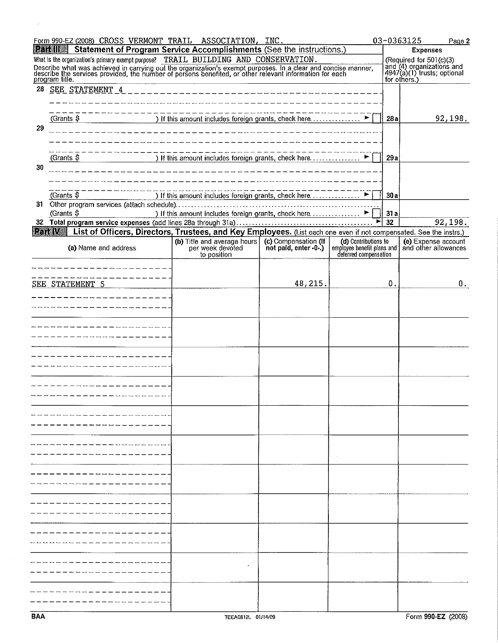|    | Form 990-EZ (2008) CROSS VERMONT TRAIL ASSOCIATION, INC.                                                                                                                                                                                                                                                                   |                                                                |                                                                                                     |                       |     | 03-0363125<br>Page 2                                                                         |
|----|----------------------------------------------------------------------------------------------------------------------------------------------------------------------------------------------------------------------------------------------------------------------------------------------------------------------------|----------------------------------------------------------------|-----------------------------------------------------------------------------------------------------|-----------------------|-----|----------------------------------------------------------------------------------------------|
|    | Statement of Program Service Accomplishments (See the instructions.)<br><b>Raall</b>                                                                                                                                                                                                                                       |                                                                | <b>Expenses</b>                                                                                     |                       |     |                                                                                              |
|    | What is the organization's primary exempt purpose? TRAIL BUILDING AND CONSERVATION.<br>Describe what was achieved in carrying out the organization's exempt purposes. In a clear and concise manner,<br>describe the services provided, the number of persons benefited, or other relevant information for each<br>program |                                                                | (Required for 501(c)(3)<br>and (4) organizations and<br>4947(a)(1) trusts; optional<br>for others.) |                       |     |                                                                                              |
| 28 | SEE STATEMENT 4                                                                                                                                                                                                                                                                                                            |                                                                |                                                                                                     |                       |     |                                                                                              |
|    |                                                                                                                                                                                                                                                                                                                            |                                                                |                                                                                                     |                       |     |                                                                                              |
|    |                                                                                                                                                                                                                                                                                                                            |                                                                |                                                                                                     |                       |     |                                                                                              |
|    | (Grants \$<br>) If this amount includes foreign grants, check here $\ldots$ $\ldots$ $\ldots$                                                                                                                                                                                                                              | 28a                                                            | 92,198.                                                                                             |                       |     |                                                                                              |
| 29 |                                                                                                                                                                                                                                                                                                                            |                                                                |                                                                                                     |                       |     |                                                                                              |
|    |                                                                                                                                                                                                                                                                                                                            |                                                                |                                                                                                     |                       |     |                                                                                              |
|    | (Grants \$                                                                                                                                                                                                                                                                                                                 | ) If this amount includes foreign grants, check here           |                                                                                                     |                       | 29a |                                                                                              |
| 30 |                                                                                                                                                                                                                                                                                                                            |                                                                |                                                                                                     |                       |     |                                                                                              |
|    |                                                                                                                                                                                                                                                                                                                            |                                                                |                                                                                                     |                       |     |                                                                                              |
|    |                                                                                                                                                                                                                                                                                                                            |                                                                |                                                                                                     |                       |     |                                                                                              |
|    | (Grants \$                                                                                                                                                                                                                                                                                                                 | ) If this amount includes foreign grants, check here ▶         |                                                                                                     |                       | 30a |                                                                                              |
|    | (Grants \$                                                                                                                                                                                                                                                                                                                 |                                                                |                                                                                                     |                       | 31a |                                                                                              |
| 32 |                                                                                                                                                                                                                                                                                                                            |                                                                |                                                                                                     |                       | 32  | 92,198.                                                                                      |
|    | List of Officers, Directors, Trustees, and Key Employees. (List each one even if not compensated. See the instrs.)<br><b>Part We</b>                                                                                                                                                                                       |                                                                |                                                                                                     |                       |     |                                                                                              |
|    | (a) Name and address                                                                                                                                                                                                                                                                                                       | (b) Title and average hours<br>per week devoted<br>to position | (c) Compensation (If<br>not paid, enter -0-.)                                                       | deterred compensation |     | (d) Contributions to (e) Experise account<br>employee benefit plans and and other allowances |
|    | ----------------                                                                                                                                                                                                                                                                                                           |                                                                |                                                                                                     |                       |     |                                                                                              |
|    | ---------                                                                                                                                                                                                                                                                                                                  |                                                                |                                                                                                     |                       |     |                                                                                              |
|    | SEE STATEMENT 5                                                                                                                                                                                                                                                                                                            |                                                                | 48,215.                                                                                             |                       | 0.  | 0.                                                                                           |
|    | --------------                                                                                                                                                                                                                                                                                                             |                                                                |                                                                                                     |                       |     |                                                                                              |
|    | ------------------                                                                                                                                                                                                                                                                                                         |                                                                |                                                                                                     |                       |     |                                                                                              |
|    |                                                                                                                                                                                                                                                                                                                            |                                                                |                                                                                                     |                       |     |                                                                                              |
|    | _ _ _ _ _ <i>_</i> _ _ _ _ _ _                                                                                                                                                                                                                                                                                             |                                                                |                                                                                                     |                       |     |                                                                                              |
|    |                                                                                                                                                                                                                                                                                                                            |                                                                |                                                                                                     |                       |     |                                                                                              |
|    |                                                                                                                                                                                                                                                                                                                            |                                                                |                                                                                                     |                       |     |                                                                                              |
|    | and and and are a strip to the                                                                                                                                                                                                                                                                                             |                                                                |                                                                                                     |                       |     |                                                                                              |
|    |                                                                                                                                                                                                                                                                                                                            |                                                                |                                                                                                     |                       |     |                                                                                              |
|    |                                                                                                                                                                                                                                                                                                                            |                                                                |                                                                                                     |                       |     |                                                                                              |
|    | ---------------------                                                                                                                                                                                                                                                                                                      |                                                                |                                                                                                     |                       |     |                                                                                              |
|    |                                                                                                                                                                                                                                                                                                                            |                                                                |                                                                                                     |                       |     |                                                                                              |
|    |                                                                                                                                                                                                                                                                                                                            |                                                                |                                                                                                     |                       |     |                                                                                              |
|    |                                                                                                                                                                                                                                                                                                                            |                                                                |                                                                                                     |                       |     |                                                                                              |
|    |                                                                                                                                                                                                                                                                                                                            |                                                                |                                                                                                     |                       |     |                                                                                              |
|    |                                                                                                                                                                                                                                                                                                                            |                                                                |                                                                                                     |                       |     |                                                                                              |
|    |                                                                                                                                                                                                                                                                                                                            |                                                                |                                                                                                     |                       |     |                                                                                              |
|    |                                                                                                                                                                                                                                                                                                                            |                                                                |                                                                                                     |                       |     |                                                                                              |
|    |                                                                                                                                                                                                                                                                                                                            |                                                                |                                                                                                     |                       |     |                                                                                              |
|    |                                                                                                                                                                                                                                                                                                                            |                                                                |                                                                                                     |                       |     |                                                                                              |
|    |                                                                                                                                                                                                                                                                                                                            |                                                                |                                                                                                     |                       |     |                                                                                              |
|    |                                                                                                                                                                                                                                                                                                                            |                                                                |                                                                                                     |                       |     |                                                                                              |
|    |                                                                                                                                                                                                                                                                                                                            |                                                                |                                                                                                     |                       |     |                                                                                              |
|    |                                                                                                                                                                                                                                                                                                                            |                                                                |                                                                                                     |                       |     |                                                                                              |
|    |                                                                                                                                                                                                                                                                                                                            |                                                                |                                                                                                     |                       |     |                                                                                              |
|    |                                                                                                                                                                                                                                                                                                                            |                                                                |                                                                                                     |                       |     |                                                                                              |
|    |                                                                                                                                                                                                                                                                                                                            |                                                                |                                                                                                     |                       |     |                                                                                              |
|    |                                                                                                                                                                                                                                                                                                                            |                                                                |                                                                                                     |                       |     |                                                                                              |
|    |                                                                                                                                                                                                                                                                                                                            |                                                                |                                                                                                     |                       |     |                                                                                              |
|    |                                                                                                                                                                                                                                                                                                                            |                                                                |                                                                                                     |                       |     |                                                                                              |

 $\hat{\boldsymbol{r}}$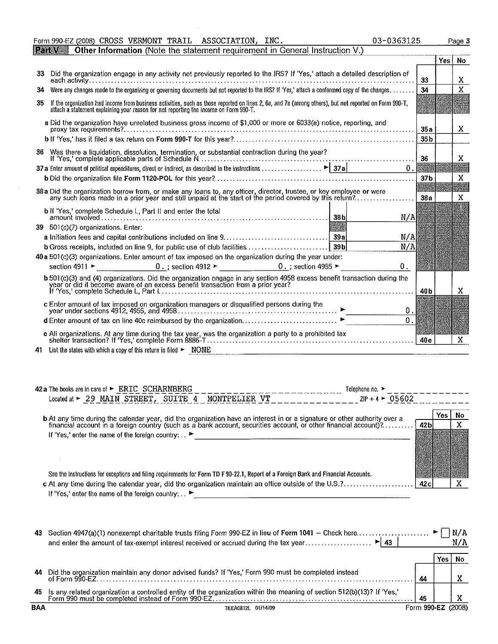**ITY AVENUE** Other Information (Note the statement requirement in General Instruction V. Yes **No** 33 Did the organization engage in any activity not previously reported to the IRS? If 'Yes,' attach a detailed description of **each activity ......................................... , ............. , ........ , ..... ,"', .. ,., ............. , ........** f-='=--+--t-:':- 34 34 Were any changes made to the organizing or governing documents but not reported to the IRS? If 'Yes,' attach a conformed copy of the changes . . . . . . . 35 If the organization had income from business activities, such as those reported on lines 2, 6a, and 7a (among others), but not reported on Form 990-T, **attach a statement explaining your reason for not reporting the income on Form 99O·T. a Did the organization have unrelated business gross income of \$1,000 or more or 6033(e) notice, reporting, and proxy tax requirements? .** .. , ........................................... , .. "., , .. , ..... , ........... , ... , .......... I--"':'-"--j--j----'''--- b If 'Yes,' has it filed a tax return on Form 990-T for this year? ........................................................ 1--"=-=-+--1---- **36 Was there a liquidation, dissolution, termination, or substantial contraction during the year?** If 'Yes,' complete applicable parts of Schedule N. ............................................ . X 36 **37a** Enter amount of political expenditures, direct or indirect, as described in the instructions  $\ldots$ ,  $\ldots$ ,  $\ldots$ ,  $\blacktriangleright$  37a  $\Omega$ b Did the organization file Fonn 1120-POL for this year? ............................................................. .  $37<sub>b</sub>$ X **38a Did the organization borrow from, or make any loans to, any officer, director, trustee, or any such loans made in a prior year and still unpaid at the start of the period covered by**   $38a$ X b ~~~~~; ~~~~:d~ ~~h~dule.L,. ~artl.l.and. enter the. total. 38<sub>b</sub>  $N/A$ 39 501 (c)(7) organizations. Enter: **a Initiation fees and capital contributions included on line 9 .** ......... , . , .. , .. , , .. , , ......... 1--"':'-"-1--------::'7f **b Gross receipts, included on line 9, for public use of club facilities.** , , . , , , ..... , , , , ... , ...... L"'=~ \_\_\_\_\_ -=-= **40a 501 (c)(3) organizations. Enter amount of tax imposed on the organization during the year under:**  section 4911 ~ 0. ; section 4912 ~ 0. ; section 4955 ~ \_\_\_\_\_\_ ---'o".~ b 501(c)(3) and (4) organizations. Did the organization engage in any section 4958 excess benefit transaction during the<br>year or did it become aware of an excess benefit transaction from a prior year?<br>If 'Yes,' complete Sc X **c Enter amount of tax imposed on organization managers or disqualified persons during the**  year under sections 4912, 4955, and 4958 .................................................. ~ \_\_\_\_\_\_ --''--' **d Enter amount of tax on line 40c reimbursed by the organization, . , ,** ......... , ........ , ... , .. .  $\Omega$ . **e All organizations. At any time during the tax year, was the organization a party to a prohibited tax shelter transaction? If 'Yes,' complete Form 8886-T"" ........ , ......... , ................. , ............... , ... , ....** '--"=-'-\_-'---'~ 41 List the states with which a copy of this return is filed ~ ."N"'O"'N"E=---\_\_\_\_\_\_\_\_\_\_\_\_\_\_\_\_\_\_\_\_\_\_\_\_\_\_\_\_ \_

ASSOCIATION, INC

03-0363125

Page 3

Form 990-EZ (2008) CROSS VERMONT TRAIL

| 42 a The books are in care of $\blacktriangleright$ ERIC SCHARNBERG<br>Telephone no. $\blacktriangleright$                                                                                                                             |                 |      |     |
|----------------------------------------------------------------------------------------------------------------------------------------------------------------------------------------------------------------------------------------|-----------------|------|-----|
| Located at ► 29 MAIN STREET, SUITE 4 MONTPELIER VT<br>$2IP + 4$ $\sim$ 05602                                                                                                                                                           |                 |      |     |
|                                                                                                                                                                                                                                        |                 | Yes. | No. |
| <b>b</b> At any time during the calendar year, did the organization have an interest in or a signature or other authority over a<br>financial account in a foreign country (such as a bank account, securities account, or other finan | 42 <sub>b</sub> |      |     |
| If 'Yes,' enter the name of the foreign country: $\rightarrow$                                                                                                                                                                         |                 |      |     |
|                                                                                                                                                                                                                                        |                 |      |     |
|                                                                                                                                                                                                                                        |                 |      |     |
| See the instructions for exceptions and filing requirements for Form TD F 90-22.1, Report of a Foreign Bank and Financial Accounts.                                                                                                    |                 |      |     |
| c At any time during the calendar year, did the organization maintain an office outside of the U.S.?<br>If 'Yes,' enter the name of the foreign country: $\Box$                                                                        | 42c             |      |     |
|                                                                                                                                                                                                                                        |                 |      |     |
|                                                                                                                                                                                                                                        |                 |      |     |

| 43.        | Section 4947(a)(1) nonexempt charitable trusts filing Form 990-EZ in lieu of Form 1041 - Check here |                    | N/A |
|------------|-----------------------------------------------------------------------------------------------------|--------------------|-----|
|            |                                                                                                     |                    |     |
|            |                                                                                                     | 44                 | v   |
| 45         |                                                                                                     | 45                 |     |
| <b>BAA</b> | TEEA0812L 01/14/09                                                                                  | Form 990-EZ (2008) |     |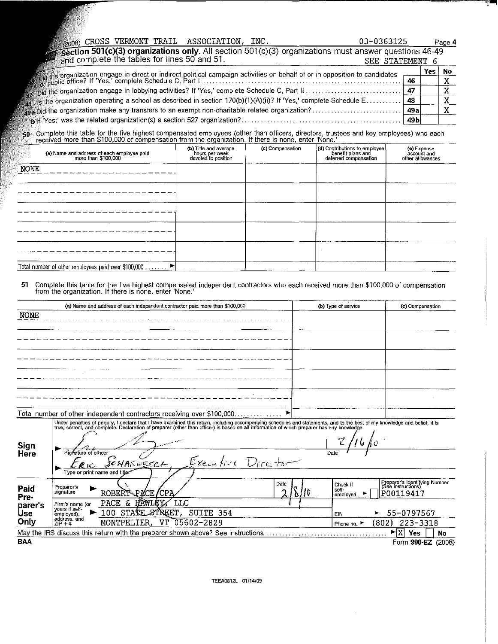|  |  |                                                             |  |                 | Page 4 |  |
|--|--|-------------------------------------------------------------|--|-----------------|--------|--|
|  |  |                                                             |  |                 |        |  |
|  |  | $\blacksquare$ and complete the tables for lines 50 and 51. |  | SEE STATEMENT 6 |        |  |

|                                                                                                                            |    | Yes | - No |
|----------------------------------------------------------------------------------------------------------------------------|----|-----|------|
|                                                                                                                            | 46 |     |      |
|                                                                                                                            |    |     |      |
| $_8$ is the organization operating a school as described in section 170(b)(1)(A)(ii)? If 'Yes,' complete Schedule E………… 48 |    |     |      |
|                                                                                                                            |    |     |      |
|                                                                                                                            |    |     |      |

...<br>"Complete this table for the five highest compensated employees (other than officers, directors, trustees and key employees) who each<br>Treceived more than \$100,000 of compensation from the organization. If there is none 50

| (a) Name and address of each employee paid<br>more than \$100,000 | (b) Title and average<br>hours per week<br>devoted to position | (c) Compensation | (d) Contributions to employee<br>benefit plans and<br>deferred compensation | (e) Expense<br>account and<br>other allowances |
|-------------------------------------------------------------------|----------------------------------------------------------------|------------------|-----------------------------------------------------------------------------|------------------------------------------------|
| <b>NONE</b>                                                       |                                                                |                  |                                                                             |                                                |
|                                                                   |                                                                |                  |                                                                             |                                                |
|                                                                   |                                                                |                  |                                                                             |                                                |
|                                                                   |                                                                |                  |                                                                             |                                                |
|                                                                   |                                                                |                  |                                                                             |                                                |
| Total number of other employees paid over \$100,000 ▶             |                                                                |                  |                                                                             |                                                |

**51** Complete this table for the five highest compensated independent contractors who each received more than \$100,000 of compensation from the organization. If there is none, enter 'None.'

|             | (a) Name and address of each independent contractor paid more than \$100,000                                                                                                                                                      | (b) Type of service         | (c) Compensation                                    |
|-------------|-----------------------------------------------------------------------------------------------------------------------------------------------------------------------------------------------------------------------------------|-----------------------------|-----------------------------------------------------|
| <b>NONE</b> |                                                                                                                                                                                                                                   |                             |                                                     |
|             |                                                                                                                                                                                                                                   |                             |                                                     |
|             |                                                                                                                                                                                                                                   |                             |                                                     |
|             |                                                                                                                                                                                                                                   |                             |                                                     |
|             |                                                                                                                                                                                                                                   |                             |                                                     |
|             |                                                                                                                                                                                                                                   |                             |                                                     |
|             |                                                                                                                                                                                                                                   |                             |                                                     |
|             |                                                                                                                                                                                                                                   |                             |                                                     |
|             |                                                                                                                                                                                                                                   |                             |                                                     |
|             | Total number of other independent contractors receiving over \$100,000                                                                                                                                                            |                             |                                                     |
|             | Under penalties of perjury, I declare that I have examined this return, including accompanying schedules and statements, and to the best of my knowledge and belief, it is<br>true, correct, and complete. Declaration of prepare |                             |                                                     |
|             |                                                                                                                                                                                                                                   |                             |                                                     |
| Sign        |                                                                                                                                                                                                                                   | $\mathcal{Z}$<br>16ko       |                                                     |
| Here        | Signature of officer                                                                                                                                                                                                              | Date                        |                                                     |
|             | SCHARWECCK, Executive Director                                                                                                                                                                                                    |                             |                                                     |
|             | Type or print name and title:                                                                                                                                                                                                     |                             |                                                     |
| Paid        | Date<br>Preparer's                                                                                                                                                                                                                | Check if                    | Preparer's Identifying Number<br>(See instructions) |
| Pre-        | signature<br>ROBERT PACE / CPA                                                                                                                                                                                                    | sell-<br>)   ID<br>employed | P00119417                                           |
| parer's     | LLC<br>PACE & HAWLEY<br>Firm's name (or                                                                                                                                                                                           |                             |                                                     |
| Use         | yours if self-<br>STATE STREET,<br>SUITE 354<br>100<br>employed),<br>addreec and                                                                                                                                                  | EIN                         | 55-0797567<br>►                                     |

| ---        | ------------              |                 |                        | .         |       | -- - - - - - -    |      |
|------------|---------------------------|-----------------|------------------------|-----------|-------|-------------------|------|
| Only       | address, and<br>$7IP + 4$ | F.R.<br>MONTPEL | VT<br>าริคา<br>$-2829$ | Phone no. | 1802) | $223 - 3318$      |      |
|            |                           |                 |                        |           |       | $-$<br>Yes<br>∡∡ו | No   |
| <b>BAA</b> |                           |                 |                        |           |       | 990-EZ<br>orm     | (20) |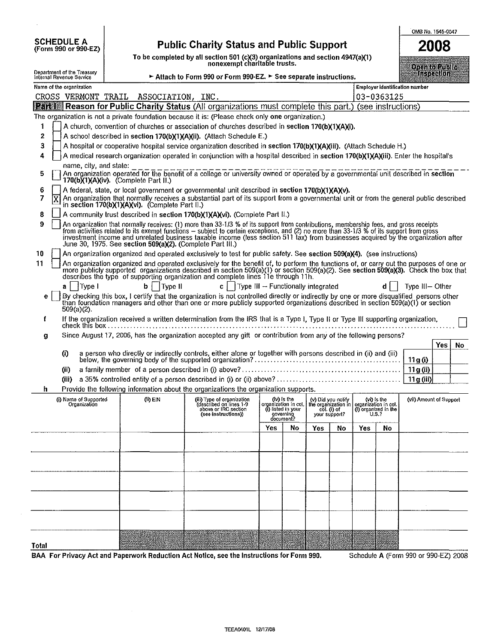| <b>SCHEDULE A</b> |                      |
|-------------------|----------------------|
|                   | (Form 990 or 990-EZ) |

## Public Charity Status and Public Support

To be completed by all section 501 (c)(3) organizations and section 4947(a)(1)

|                                                                                                                                           |                                                                                                                                                                                                                                                                                                                                                                                                                                                                                      | nonexempt charitable trusts.                                                                         |     |                                                                                     |     |                              |                                                             |                               | Open to Public                        |    |  |  |
|-------------------------------------------------------------------------------------------------------------------------------------------|--------------------------------------------------------------------------------------------------------------------------------------------------------------------------------------------------------------------------------------------------------------------------------------------------------------------------------------------------------------------------------------------------------------------------------------------------------------------------------------|------------------------------------------------------------------------------------------------------|-----|-------------------------------------------------------------------------------------|-----|------------------------------|-------------------------------------------------------------|-------------------------------|---------------------------------------|----|--|--|
| Department of the Treasury<br>Internal Revenue Service                                                                                    |                                                                                                                                                                                                                                                                                                                                                                                                                                                                                      | Attach to Form 990 or Form 990-EZ. > See separate instructions.                                      |     |                                                                                     |     |                              |                                                             |                               | <b>Inspection</b>                     |    |  |  |
| Name of the organization                                                                                                                  |                                                                                                                                                                                                                                                                                                                                                                                                                                                                                      |                                                                                                      |     |                                                                                     |     |                              |                                                             |                               | <b>Employer identification number</b> |    |  |  |
| CROSS VERMONT TRAIL                                                                                                                       | ASSOCIATION, INC.                                                                                                                                                                                                                                                                                                                                                                                                                                                                    |                                                                                                      |     |                                                                                     |     |                              |                                                             | 03-0363125                    |                                       |    |  |  |
|                                                                                                                                           | <b>Part Reason for Public Charity Status (All organizations must complete this part.) (see instructions)</b>                                                                                                                                                                                                                                                                                                                                                                         |                                                                                                      |     |                                                                                     |     |                              |                                                             |                               |                                       |    |  |  |
|                                                                                                                                           | The organization is not a private foundation because it is: (Please check only one organization.)                                                                                                                                                                                                                                                                                                                                                                                    |                                                                                                      |     |                                                                                     |     |                              |                                                             |                               |                                       |    |  |  |
| A church, convention of churches or association of churches described in section 170(b)(1)(A)(i).                                         |                                                                                                                                                                                                                                                                                                                                                                                                                                                                                      |                                                                                                      |     |                                                                                     |     |                              |                                                             |                               |                                       |    |  |  |
| $\mathbf{z}$<br>A school described in section 170(b)(1)(A)(ii). (Attach Schedule E.)                                                      |                                                                                                                                                                                                                                                                                                                                                                                                                                                                                      |                                                                                                      |     |                                                                                     |     |                              |                                                             |                               |                                       |    |  |  |
| 3<br>A hospital or cooperative hospital service organization described in section 170(b)(1)(A)(iii). (Attach Schedule H.)                 |                                                                                                                                                                                                                                                                                                                                                                                                                                                                                      |                                                                                                      |     |                                                                                     |     |                              |                                                             |                               |                                       |    |  |  |
| A medical research organization operated in conjunction with a hospital described in section 170(b)(1)(A)(iii). Enter the hospital's<br>4 |                                                                                                                                                                                                                                                                                                                                                                                                                                                                                      |                                                                                                      |     |                                                                                     |     |                              |                                                             |                               |                                       |    |  |  |
| 5                                                                                                                                         | name, city, and state:<br>An organization operated for the benefit of a college or university owned or operated by a governmental unit described in section<br>170(b)(1)(A)(iv). (Complete Part II.)                                                                                                                                                                                                                                                                                 |                                                                                                      |     |                                                                                     |     |                              |                                                             |                               |                                       |    |  |  |
| 6                                                                                                                                         | A federal, state, or local government or governmental unit described in section 170(b)(1)(A)(v).                                                                                                                                                                                                                                                                                                                                                                                     |                                                                                                      |     |                                                                                     |     |                              |                                                             |                               |                                       |    |  |  |
| 7<br>X                                                                                                                                    | An organization that normally receives a substantial part of its support from a governmental unit or from the general public described<br>in section 170(b)(1)(A)(vi). (Complete Part II.)                                                                                                                                                                                                                                                                                           |                                                                                                      |     |                                                                                     |     |                              |                                                             |                               |                                       |    |  |  |
| 8                                                                                                                                         | A community trust described in section 170(b)(1)(A)(vi). (Complete Part II.)                                                                                                                                                                                                                                                                                                                                                                                                         |                                                                                                      |     |                                                                                     |     |                              |                                                             |                               |                                       |    |  |  |
| 9                                                                                                                                         | An organization that normally receives: (1) more than 33-1/3 % of its support from contributions, membership fees, and gross receipts<br>from activities related to its exempt functions – subject to certain exceptions, and (2) no more than 33-1/3 % of its support from gross<br>investment income and unrelated business taxable income (less section 511 tax) from businesses acquired by the organization after<br>June 30, 1975. See section 509(a)(2). (Complete Part III.) |                                                                                                      |     |                                                                                     |     |                              |                                                             |                               |                                       |    |  |  |
| 10                                                                                                                                        | An organization organized and operated exclusively to test for public safety. See section 509(a)(4). (see instructions)                                                                                                                                                                                                                                                                                                                                                              |                                                                                                      |     |                                                                                     |     |                              |                                                             |                               |                                       |    |  |  |
| 11                                                                                                                                        | An organization organized and operated exclusively for the benefit of, to perform the functions of, or carry out the purposes of one or<br>more publicly supported organizations described in section 509(a)(1) or section 509(a)<br>describes the type of supporting organization and complete lines 11e through 11h.                                                                                                                                                               |                                                                                                      |     |                                                                                     |     |                              |                                                             |                               |                                       |    |  |  |
| Type I<br>a                                                                                                                               | Type II<br>b                                                                                                                                                                                                                                                                                                                                                                                                                                                                         | c     Type III $\rightarrow$ Functionally integrated                                                 |     |                                                                                     |     |                              |                                                             | d I                           | Type III-Other                        |    |  |  |
| е                                                                                                                                         | By checking this box, I certify that the organization is not controlled directly or indirectly by one or more disqualified persons other<br>than foundation managers and other than one or more publicly supported organizations                                                                                                                                                                                                                                                     |                                                                                                      |     |                                                                                     |     |                              |                                                             |                               |                                       |    |  |  |
| $509(a)(2)$ .<br>f                                                                                                                        | If the organization received a written determination from the IRS that is a Type I, Type II or Type III supporting organization,                                                                                                                                                                                                                                                                                                                                                     |                                                                                                      |     |                                                                                     |     |                              |                                                             |                               |                                       |    |  |  |
| g                                                                                                                                         | Since August 17, 2006, has the organization accepted any gift or contribution from any of the following persons?                                                                                                                                                                                                                                                                                                                                                                     |                                                                                                      |     |                                                                                     |     |                              |                                                             |                               |                                       |    |  |  |
|                                                                                                                                           |                                                                                                                                                                                                                                                                                                                                                                                                                                                                                      |                                                                                                      |     |                                                                                     |     |                              |                                                             |                               | Yes                                   | No |  |  |
| $\bf{0}$                                                                                                                                  |                                                                                                                                                                                                                                                                                                                                                                                                                                                                                      |                                                                                                      |     |                                                                                     |     |                              |                                                             |                               | 11 g (i)                              |    |  |  |
| (ii)                                                                                                                                      |                                                                                                                                                                                                                                                                                                                                                                                                                                                                                      |                                                                                                      |     |                                                                                     |     |                              |                                                             |                               | 11 g (ii)                             |    |  |  |
| (iii)                                                                                                                                     |                                                                                                                                                                                                                                                                                                                                                                                                                                                                                      |                                                                                                      |     |                                                                                     |     |                              |                                                             |                               | 11 g (iii)                            |    |  |  |
| h                                                                                                                                         | Provide the following information about the organizations the organization supports.                                                                                                                                                                                                                                                                                                                                                                                                 |                                                                                                      |     |                                                                                     |     |                              |                                                             |                               |                                       |    |  |  |
| (i) Name of Supported<br>Organization                                                                                                     | (ii) EIN                                                                                                                                                                                                                                                                                                                                                                                                                                                                             | (iii) Type of organization<br>(described on lines 1-9<br>above or IRC section<br>(see instructions)) |     | (iv) is the<br>organization in col.<br>(i) listed in your<br>governing<br>document? |     | col. (i) of<br>your support? | (v) Did you notify $ $ (vi) is the the organization in col. | (i) organized in the<br>U.S.? | (vii) Amount of Support               |    |  |  |
|                                                                                                                                           |                                                                                                                                                                                                                                                                                                                                                                                                                                                                                      |                                                                                                      | Yes | No                                                                                  | Yes | No                           | Yes                                                         | No                            |                                       |    |  |  |
|                                                                                                                                           |                                                                                                                                                                                                                                                                                                                                                                                                                                                                                      |                                                                                                      |     |                                                                                     |     |                              |                                                             |                               |                                       |    |  |  |
|                                                                                                                                           |                                                                                                                                                                                                                                                                                                                                                                                                                                                                                      |                                                                                                      |     |                                                                                     |     |                              |                                                             |                               |                                       |    |  |  |
|                                                                                                                                           |                                                                                                                                                                                                                                                                                                                                                                                                                                                                                      |                                                                                                      |     |                                                                                     |     |                              |                                                             |                               |                                       |    |  |  |
|                                                                                                                                           |                                                                                                                                                                                                                                                                                                                                                                                                                                                                                      |                                                                                                      |     |                                                                                     |     |                              |                                                             |                               |                                       |    |  |  |
|                                                                                                                                           |                                                                                                                                                                                                                                                                                                                                                                                                                                                                                      |                                                                                                      |     |                                                                                     |     |                              |                                                             |                               |                                       |    |  |  |
|                                                                                                                                           |                                                                                                                                                                                                                                                                                                                                                                                                                                                                                      |                                                                                                      |     |                                                                                     |     |                              |                                                             |                               |                                       |    |  |  |
|                                                                                                                                           |                                                                                                                                                                                                                                                                                                                                                                                                                                                                                      |                                                                                                      |     |                                                                                     |     |                              |                                                             |                               |                                       |    |  |  |
|                                                                                                                                           |                                                                                                                                                                                                                                                                                                                                                                                                                                                                                      |                                                                                                      |     |                                                                                     |     |                              |                                                             |                               |                                       |    |  |  |
|                                                                                                                                           |                                                                                                                                                                                                                                                                                                                                                                                                                                                                                      |                                                                                                      |     |                                                                                     |     |                              |                                                             |                               |                                       |    |  |  |
|                                                                                                                                           |                                                                                                                                                                                                                                                                                                                                                                                                                                                                                      |                                                                                                      |     |                                                                                     |     |                              |                                                             |                               |                                       |    |  |  |
| Total                                                                                                                                     |                                                                                                                                                                                                                                                                                                                                                                                                                                                                                      |                                                                                                      |     |                                                                                     |     |                              |                                                             |                               |                                       |    |  |  |

BAA For Privacy Act and Paperwork Reduction Act Notice, see the Instructions for Form 990. Schedule A (Form 990 or 990-EZ) 2008

OMB No. 1545-0047 2008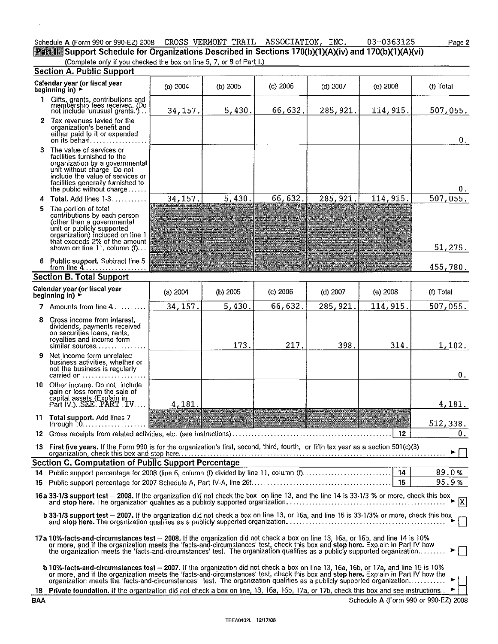# Schedule A (Form 990 or 990-EZ) 2008 CROSS VERMONT TRAIL ASSOCIATION, INC. 03-0363125<br>Part II Support Schedule for Organizations Described in Sections 170(b)(1)(A)(iv) and 170(b)(1)(A)(vi)

(Complete only if you checked the box on line 5, 7, or 8 of Part I.)

|            | <b>Section A. Public Support</b>                                                                                                                                                                                                                                                                                                                                                                     |          |            |            |            |                 |                                      |
|------------|------------------------------------------------------------------------------------------------------------------------------------------------------------------------------------------------------------------------------------------------------------------------------------------------------------------------------------------------------------------------------------------------------|----------|------------|------------|------------|-----------------|--------------------------------------|
|            | Calendar year (or fiscal year<br>beginning in) $\blacktriangleright$                                                                                                                                                                                                                                                                                                                                 | (a) 2004 | (b) $2005$ | $(c)$ 2006 | $(d)$ 2007 | $(e)$ 2008      | (f) Total                            |
|            | 1 Gifts, grants, contributions and<br>membership fees received. (Do<br>not include 'unusual grants.')                                                                                                                                                                                                                                                                                                | 34, 157. | 5,430.     | 66,632.    | 285, 921.  | 114, 915.       | 507,055.                             |
|            | 2 Tax revenues levied for the<br>organization's benefit and<br>either paid to it or expended<br>on its behalf                                                                                                                                                                                                                                                                                        |          |            |            |            |                 | $\mathbf{0}$ .                       |
| з.         | The value of services or<br>facilities furnished to the<br>organization by a governmental<br>unit without charge. Do not<br>include the value of services or<br>facilities generally furnished to<br>the public without charge                                                                                                                                                                       |          |            |            |            |                 | 0.                                   |
| 4          | Total. Add lines 1-3                                                                                                                                                                                                                                                                                                                                                                                 | 34, 157. | 5.430.     | 66,632.    | 285, 921.  | 114, 915.       | 507,055.                             |
| 5          | The portion of total<br>contributions by each person<br>(other than a governmental<br>unit or publicly supported<br>organization) included on line 1<br>that exceeds 2% of the amount<br>shown on line 11, column $(f)$                                                                                                                                                                              |          |            |            |            |                 | 51,275.                              |
|            | 6 Public support. Subtract line 5<br>from line 4                                                                                                                                                                                                                                                                                                                                                     |          |            |            |            |                 | 455,780.                             |
|            | <b>Section B. Total Support</b>                                                                                                                                                                                                                                                                                                                                                                      |          |            |            |            |                 |                                      |
|            | Calendar year (or fiscal year<br>beginning in) $\rightarrow$                                                                                                                                                                                                                                                                                                                                         | (a) 2004 | $(b)$ 2005 | $(c)$ 2006 | $(d)$ 2007 | $(e)$ 2008      | (f) Total                            |
|            | 7 Amounts from line 4                                                                                                                                                                                                                                                                                                                                                                                | 34, 157. | 5,430.     | 66,632.    | 285, 921.  | 114, 915.       | 507,055.                             |
| 8          | Gross income from interest,<br>dividends, payments received<br>on securities loans, rents,<br>royalties and income form<br>similar sources                                                                                                                                                                                                                                                           |          | 173.       | 217.       | 398.       | 314.            | 1,102.                               |
| 9          | Net income form unrelated<br>business activities, whether or<br>not the business is regularly<br>carried on                                                                                                                                                                                                                                                                                          |          |            |            |            |                 | 0.                                   |
|            | 10 Other income. Do not include<br>gain or loss form the sale of<br>capital assets (Explain in<br>Part IV.). SEE. PART. IV                                                                                                                                                                                                                                                                           | 4,181.   |            |            |            |                 | 4,181.                               |
|            | 11 Total support. Add lines 7<br>through $10, \ldots, \ldots, \ldots, \ldots$                                                                                                                                                                                                                                                                                                                        |          |            |            |            |                 | 512,338.                             |
|            |                                                                                                                                                                                                                                                                                                                                                                                                      |          |            |            |            | 12 <sub>2</sub> | 0.                                   |
|            | 13 First five years. If the Form 990 is for the organization's first, second, third, fourth, or fifth tax year as a section 501(c)(3)                                                                                                                                                                                                                                                                |          |            |            |            |                 |                                      |
|            | <b>Section C. Computation of Public Support Percentage</b>                                                                                                                                                                                                                                                                                                                                           |          |            |            |            |                 |                                      |
|            |                                                                                                                                                                                                                                                                                                                                                                                                      |          |            |            |            |                 | 89.0%                                |
| 15.        |                                                                                                                                                                                                                                                                                                                                                                                                      |          |            |            |            | 15              | 95.9%                                |
|            | 16a 33-1/3 support test - 2008. If the organization did not check the box on line 13, and the line 14 is 33-1/3 % or more, check this box and stop here. The organization qualifies as a publicly supported organization                                                                                                                                                                             |          |            |            |            |                 | $\overline{X}$                       |
|            | b 33-1/3 support test - 2007. If the organization did not check a box on line 13, or 16a, and line 15 is 33-1/3% or more, check this box and stop here. The organization qualifies as a publicly supported organization                                                                                                                                                                              |          |            |            |            |                 |                                      |
|            | 17a 10%-facts-and-circumstances test - 2008. If the organization did not check a box on line 13, 16a, or 16b, and line 14 is 10%<br>or more, and if the organization meets the 'facts-and-circumstances' test, check this box and stop here. Explain in Part IV how<br>the organization meets the 'facts-and-circumstances' test. The organization qualifies as a publicly supported organization    |          |            |            |            |                 |                                      |
|            | b 10%-facts-and-circumstances test - 2007. If the organization did not check a box on line 13, 16a, 16b, or 17a, and line 15 is 10%<br>or more, and if the organization meets the 'facts-and-circumstances' test, check this box and stop here. Explain in Part IV how the<br>organization meets the 'facts-and-circumstances' test. The organization qualifies as a publicly supported organization |          |            |            |            |                 |                                      |
|            | 18 Private foundation. If the organization did not check a box on line, 13, 16a, 16b, 17a, or 17b, check this box and see instructions.                                                                                                                                                                                                                                                              |          |            |            |            |                 |                                      |
| <b>BAA</b> |                                                                                                                                                                                                                                                                                                                                                                                                      |          |            |            |            |                 | Schedule A (Form 990 or 990-EZ) 2008 |

 $\mathcal{A}$ 

Page 2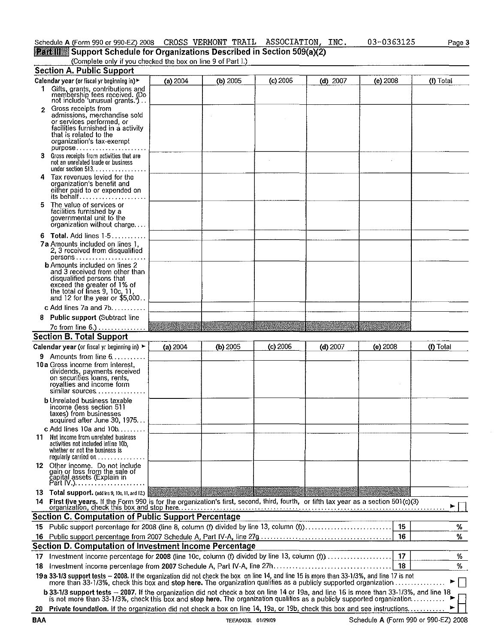### CROSS VERMONT TRAIL ASSOCIATION, INC.

03-0363125 Page 3

# (Complete only if you checked the box on line 9 of Part I.)

|                | Section A. Public Support                                                                                                                                                                                                                                       |          |            |            |            |            |           |
|----------------|-----------------------------------------------------------------------------------------------------------------------------------------------------------------------------------------------------------------------------------------------------------------|----------|------------|------------|------------|------------|-----------|
|                | Calendar year (or fiscal yr beginning in) ►                                                                                                                                                                                                                     | (a) 2004 | (b) 2005   | $(c)$ 2006 | $(d)$ 2007 | $(e)$ 2008 | (f) Total |
|                | 1 Gifts, grants, contributions and<br>membership fees received. (Do<br>not include 'unusual grants.')                                                                                                                                                           |          |            |            |            |            |           |
| $\overline{2}$ | Gross receipts from<br>admissions, merchandise sold<br>or services performed, or<br>facilities furnished in a activity<br>that is related to the<br>organization's tax-exempt<br>$p$ urpose                                                                     |          |            |            |            |            |           |
|                | 3 Gross receipts from activities that are<br>not an unrelated trade or business<br>under section $513.$                                                                                                                                                         |          |            |            |            |            |           |
|                | 4 Tax revenues levied for the<br>organization's benefit and<br>either paid to or expended on<br>its behalf                                                                                                                                                      |          |            |            |            |            |           |
| 5              | The value of services or<br>facilities furnished by a<br>governmental unit to the<br>organization without charge                                                                                                                                                |          |            |            |            |            |           |
|                | 6 Total. Add lines 1-5                                                                                                                                                                                                                                          |          |            |            |            |            |           |
|                | <b>7a</b> Amounts included on lines 1,<br>2, 3 received from disqualified<br>persons                                                                                                                                                                            |          |            |            |            |            |           |
|                | <b>b</b> Amounts included on lines 2<br>and 3 received from other than<br>disqualified persons that<br>exceed the greater of 1% of<br>the total of lines 9, 10c, 11,<br>and 12 for the year or $$5,000$                                                         |          |            |            |            |            |           |
|                | c Add lines 7a and 7b. $\ldots$                                                                                                                                                                                                                                 |          |            |            |            |            |           |
|                | 8 Public support (Subtract line                                                                                                                                                                                                                                 |          |            |            |            |            |           |
|                | 7c from line 6.)                                                                                                                                                                                                                                                |          |            |            |            |            |           |
|                | <b>Section B. Total Support</b>                                                                                                                                                                                                                                 |          |            |            |            |            |           |
|                |                                                                                                                                                                                                                                                                 |          |            |            |            |            |           |
|                | Calendar year (or fiscal yr beginning in) ►                                                                                                                                                                                                                     | (a) 2004 | $(b)$ 2005 | $(c)$ 2006 | $(d)$ 2007 | $(e)$ 2008 | (f) Total |
|                | <b>9</b> Amounts from line $6 \ldots$<br>10a Gross income from interest,<br>dividends, payments received<br>on securities loans, rents,<br>royalties and income form<br>similar sources                                                                         |          |            |            |            |            |           |
|                | <b>b</b> Unrelated business taxable<br>income (less section 511<br>taxes) from businesses<br>acquired after June 30, 1975                                                                                                                                       |          |            |            |            |            |           |
|                |                                                                                                                                                                                                                                                                 |          |            |            |            |            |           |
|                | c Add lines 10a and 10b<br><b>11</b> Net income from unrelated business<br>activities not included inline 10b,<br>whether or not the business is<br>regularly carried on                                                                                        |          |            |            |            |            |           |
|                | 12 Other income. Do not include<br>gain or loss from the sale of<br>capital assets (Explain in<br>Part IV.).                                                                                                                                                    |          |            |            |            |            |           |
|                | 13 Total support. (add ins 9, 10c, 11, and 12.)                                                                                                                                                                                                                 |          |            |            |            |            |           |
|                |                                                                                                                                                                                                                                                                 |          |            |            |            |            |           |
|                | Section C. Computation of Public Support Percentage                                                                                                                                                                                                             |          |            |            |            | 15         |           |
|                | 15 Public support percentage for 2008 (line 8, column (f) divided by line 13, column (f))                                                                                                                                                                       |          |            |            |            |            | ℅         |
|                |                                                                                                                                                                                                                                                                 |          |            |            |            | 16         | %         |
|                | Section D. Computation of Investment Income Percentage                                                                                                                                                                                                          |          |            |            |            |            |           |
|                | 17 Investment income percentage for 2008 (line 10c, column (f) divided by line 13, column (f),                                                                                                                                                                  |          |            |            |            | 17         | %.        |
|                |                                                                                                                                                                                                                                                                 |          |            |            |            | 18         | %         |
|                | 19a 33-1/3 support tests - 2008. If the organization did not check the box on line 14, and line 15 is more than 33-1/3%, and line 17 is not<br>more than 33-1/3%, check this box and stop here. The organization qualifies as a publicly supported organization |          |            |            |            |            |           |
|                | b 33-1/3 support tests - 2007. If the organization did not check a box on line 14 or 19a, and line 16 is more than 33-1/3%, and line 18<br>is not more than 33-1/3%, check this box and stop here. The organization qualifies as                                |          |            |            |            |            |           |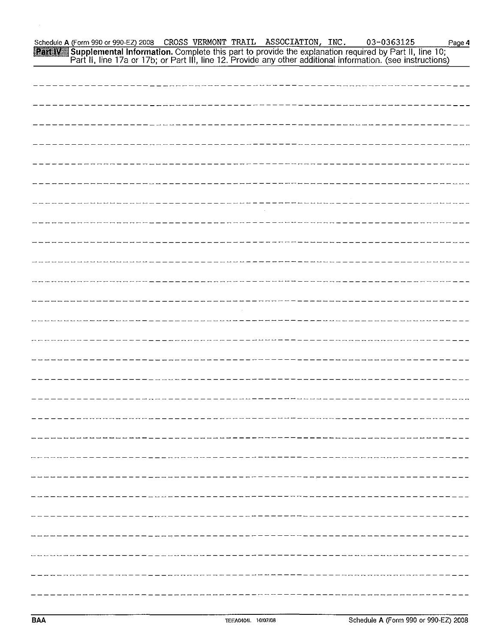Schedule A (Form 990 or 990 EZ) 2008 CROSS VERMONT TRAIL ASSOCIATION, INC. 03-0363125<br> **Part IV** Supplemental Information. Complete this part to provide the explanation required by Part II, line 10;<br>
Part II, line 17a or 1 Page 4

| -----------------                 |
|-----------------------------------|
|                                   |
|                                   |
| --------------------------        |
| ----------------------            |
| - - - - - - - - - - - - - - - - - |
| -----------------------           |
| --------------------------        |
|                                   |
|                                   |
|                                   |
|                                   |
|                                   |
|                                   |
|                                   |
|                                   |
|                                   |
|                                   |
|                                   |
|                                   |
|                                   |
|                                   |
|                                   |
|                                   |
|                                   |
|                                   |
|                                   |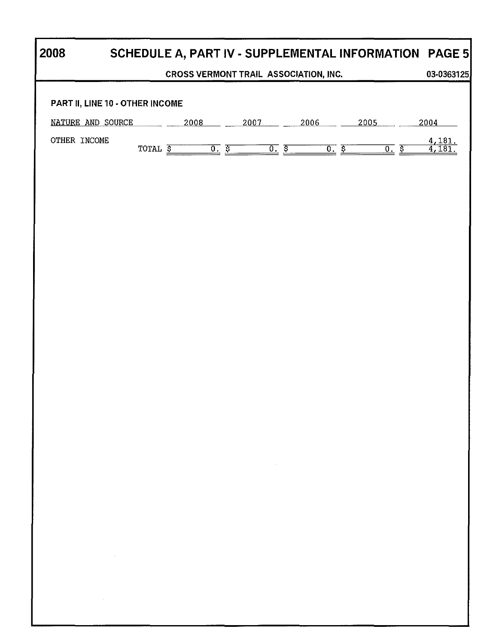| 2008                                                                                                                        |                                  |                                       |                   |                                   |                    |      |     |      |              | SCHEDULE A, PART IV - SUPPLEMENTAL INFORMATION PAGE 5 |
|-----------------------------------------------------------------------------------------------------------------------------|----------------------------------|---------------------------------------|-------------------|-----------------------------------|--------------------|------|-----|------|--------------|-------------------------------------------------------|
|                                                                                                                             |                                  | CROSS VERMONT TRAIL ASSOCIATION, INC. |                   |                                   |                    |      |     |      |              | 03-0363125                                            |
| PART II, LINE 10 - OTHER INCOME                                                                                             |                                  |                                       |                   |                                   |                    |      |     |      |              |                                                       |
| NATURE AND SOURCE                                                                                                           |                                  | 2008                                  |                   | 2007                              |                    | 2006 |     | 2005 |              | 2004                                                  |
| OTHER INCOME                                                                                                                | TOTAL $\overline{\underline{s}}$ |                                       | $\overline{0.}$ s |                                   | $\overline{0.}$ \$ |      | 0.5 |      | <u>០. ត្</u> | $\frac{4,181}{4,181}$                                 |
|                                                                                                                             |                                  |                                       |                   |                                   |                    |      |     |      |              |                                                       |
|                                                                                                                             |                                  |                                       |                   |                                   |                    |      |     |      |              |                                                       |
|                                                                                                                             |                                  |                                       |                   |                                   |                    |      |     |      |              |                                                       |
|                                                                                                                             |                                  |                                       |                   |                                   |                    |      |     |      |              |                                                       |
|                                                                                                                             |                                  |                                       |                   |                                   |                    |      |     |      |              |                                                       |
|                                                                                                                             |                                  |                                       |                   |                                   |                    |      |     |      |              |                                                       |
|                                                                                                                             |                                  |                                       |                   |                                   |                    |      |     |      |              |                                                       |
|                                                                                                                             |                                  |                                       |                   |                                   |                    |      |     |      |              |                                                       |
|                                                                                                                             |                                  |                                       |                   |                                   |                    |      |     |      |              |                                                       |
|                                                                                                                             |                                  |                                       |                   |                                   |                    |      |     |      |              |                                                       |
|                                                                                                                             |                                  |                                       |                   |                                   |                    |      |     |      |              |                                                       |
|                                                                                                                             |                                  |                                       |                   |                                   |                    |      |     |      |              |                                                       |
|                                                                                                                             |                                  |                                       |                   |                                   |                    |      |     |      |              |                                                       |
|                                                                                                                             |                                  |                                       |                   | the control of the control of the |                    |      |     |      |              |                                                       |
|                                                                                                                             |                                  |                                       |                   |                                   |                    |      |     |      |              |                                                       |
|                                                                                                                             |                                  |                                       |                   |                                   |                    |      |     |      |              |                                                       |
|                                                                                                                             |                                  |                                       |                   |                                   |                    |      |     |      |              |                                                       |
| the control of the control of the                                                                                           |                                  |                                       |                   |                                   |                    |      |     |      |              |                                                       |
| $\mathcal{L}_{\mathcal{A}}$ and $\mathcal{L}_{\mathcal{A}}$ and $\mathcal{L}_{\mathcal{A}}$ and $\mathcal{L}_{\mathcal{A}}$ |                                  |                                       |                   |                                   |                    |      |     |      |              |                                                       |
|                                                                                                                             |                                  |                                       |                   |                                   |                    |      |     |      |              |                                                       |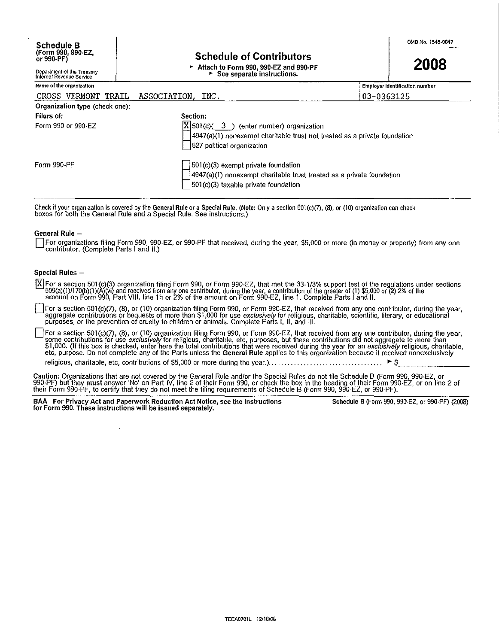### Schedule of Contributors

<sup>~</sup>Attach to Form 990, 990·EZ and 990·PF  $\blacktriangleright$  See separate instructions.

2008

# Department of the Treasury Internal Revenue Service

| Name of the organization       |                                                                                                              | <b>Employer identification number</b> |
|--------------------------------|--------------------------------------------------------------------------------------------------------------|---------------------------------------|
| CROSS VERMONT TRAIL            | ASSOCIATION, INC.                                                                                            | 03-0363125                            |
| Organization type (check one): |                                                                                                              |                                       |
| Filers of:                     | Section:                                                                                                     |                                       |
| Form 990 or 990-EZ             | $X$ 501(c)( 3) (enter number) organization                                                                   |                                       |
|                                | 4947(a)(1) nonexempt charitable trust not treated as a private foundation<br>[527 political organization     |                                       |
| Form 990-PF                    | 501(c)(3) exempt private foundation<br>4947(a)(1) nonexempt charitable trust treated as a private foundation |                                       |
|                                | $ 501(c)(3)$ taxable private foundation                                                                      |                                       |

Check if your organization is covered by the **General Rule** or a **Special Rule. (Note:** Only a section 501(c)(7), (8), or (10) organization can check<br>boxes for both the General Rule and a Special Rule. See instructions.)

### General Rule -

For organizations filing Form 990, 990-EZ, or 990-PF that received, during the year, \$5,000 or more (in money or property) from any one contributor. (Complete Parts I and 11.)

### Special Rules -

129 For a section 501 (c)(3) organization filing Form 990, or Form 990·EZ, that met the 33·113% support test of the regulations under sections 509(a)(1)/170(b)(1)(A)(vi) and received from any one contributor, during the year, a contribution of the greater of (1) \$5,000 or (2) 2% of the<br>amount on Form 990, Part VIII, line 1h or 2% of the amount on Form 990-EZ, lin

For a section 501(c)(7), (8), or (10) organization filing Form 990, or Form 990-EZ, that received from any one contributor, during the year, aggregate contributions or bequests of more than \$1,000 for use exclusively for r

For a section 501(c)(7), (8), or (10) organization filing Form 990, or Form 990-EZ, that received from any one contributor, during the year, some contributions for use exclusively for religious, charitable, etc, purposes, \$1,000. (If this box is checked, enter here the total contributions that were received during the year for an *exclusively* religious, charitable,<br>etc, purpose. Do not complete any of the Parts unless the **General Rule**

Caution: Organizations that are not covered by the General Rule and/or the Special Rules do not file Schedule B (Form 990, 990-EZ, or<br>990-PF) but they **must** answer 'No' on Part IV, line 2 of their Form 990, or check the b their Form 990·PF, to certify that they do not meet the filing requirements of Schedule B (Form 990, 990·EZ, or 990·PF).

BAA For Privacy Act and Paperwork Reduction Act Notice, see the Instructions Schedule B (Form 990, 990-EZ, or 990-PF) (2008) for Form 990. These instructions will be issued separately.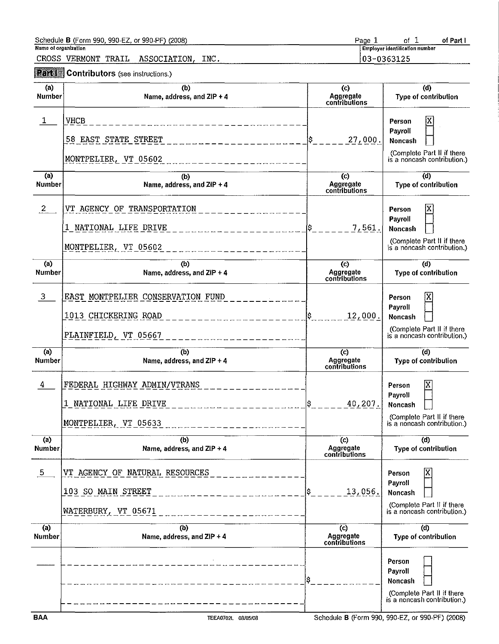|                             | Schedule <b>B</b> (Form 990, 990-EZ, or 990-PF) (2008)                                 | Page 1                                             | of $1$<br>of Part I                                                                              |
|-----------------------------|----------------------------------------------------------------------------------------|----------------------------------------------------|--------------------------------------------------------------------------------------------------|
| <b>Name of organization</b> | CROSS VERMONT TRAIL<br>ASSOCIATION,<br>INC.                                            |                                                    | <b>Employer identification number</b><br>03-0363125                                              |
|                             | <b>Part Contributors</b> (see instructions.)                                           |                                                    |                                                                                                  |
| (a)<br><b>Number</b>        | (b)<br>Name, address, and ZIP + 4                                                      | $\left($ c $\right)$<br>Aggregate<br>contributions | (d)<br>Type of contribution                                                                      |
| $\mathbf{1}$                | <b>VHCB</b><br>_______________________<br>58 EAST STATE STREET<br>MONTPELIER, VT 05602 | 27,000.                                            | Person<br>Payroll<br>Noncash<br>(Complete Part II if there<br>is a noncash contribution.)        |
| (a)<br><b>Number</b>        | (b)<br>Name, address, and ZIP + 4                                                      | $\left($ c $\right)$<br>Aggregate<br>contributions | (d)<br>Type of contribution                                                                      |
| $\overline{2}$              | VT AGENCY OF TRANSPORTATION<br>1 NATIONAL LIFE DRIVE<br>MONTPELIER, VT 05602           | 7,561.                                             | Person<br>Payroll<br><b>Noncash</b><br>(Complete Part II if there<br>is a noncash contribution.) |
| (a)<br><b>Number</b>        | (b)<br>Name, address, and $ZIP + 4$                                                    | $\circ$<br>Aggregate<br>contributions              | (d)<br>Type of contribution                                                                      |
| $\mathbf{3}$                | EAST MONTPELIER CONSERVATION FUND<br>1013 CHICKERING ROAD<br>PLAINFIELD, VT 05667      | 12,000.                                            | Χ<br>Person<br>Payroll<br>Noncash<br>(Complete Part II if there<br>is a noncash contribution.)   |
| (a)<br><b>Number</b>        | (b)<br>Name, address, and ZIP + 4                                                      | $\mathcal{L}$<br>Aggregate<br>contributions        | (d)<br>Type of contribution                                                                      |
| 4                           | FEDERAL HIGHWAY ADMIN/VTRANS<br>1 NATIONAL LIFE DRIVE<br>MONTPELIER, VT 05633          | 40,207.                                            | X<br>Person<br>Payroll<br>Noncash<br>(Complete Part II if there<br>is a noncash contribution.)   |
| (a)<br><b>Number</b>        | (b)<br>Name, address, and ZIP + 4                                                      | $\left( c \right)$<br>Aggregate<br>contributions   | (d)<br>Type of contribution                                                                      |
| $5\phantom{.0}$             | AGENCY OF NATURAL RESOURCES<br>VT<br>103 SO MAIN STREET<br>WATERBURY, VT 05671         | 13,056.                                            | ΙX<br>Person<br>Payroll<br>Noncash<br>(Complete Part II if there<br>is a noncash contribution.)  |
| (a)<br><b>Number</b>        | (b)<br>Name, address, and ZIP + 4                                                      | $\overline{c}$<br>Aggregate<br>contributions       | (d)<br>Type of contribution                                                                      |
|                             |                                                                                        | s                                                  | Person<br>Payroll<br>Noncash<br>(Complete Part II if there<br>is a noncash contribution.)        |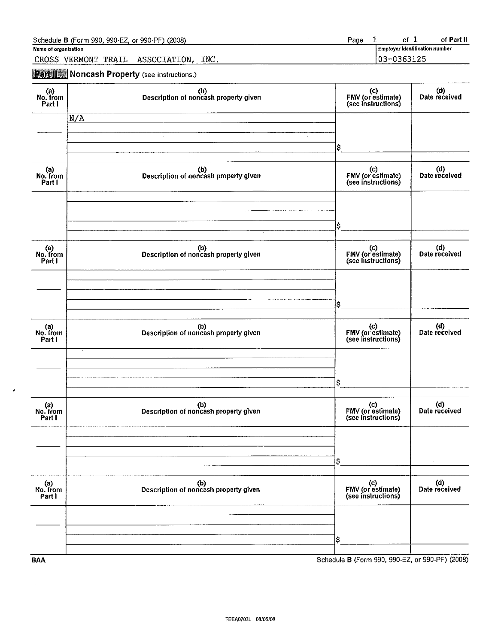| Page<br>Schedule B (Form 990, 990-EZ, or 990-PF) (2008)  | of Part II<br>0t                 |
|----------------------------------------------------------|----------------------------------|
| Name of organization                                     | l Employer identification number |
| INC.<br><b>CROSS</b><br>VERMONT<br>ASSOCIATION.<br>TRAIL | 03-0363125                       |

**Part II** Noncash Property (see instructions.)

 $\hat{\pmb{\cdot}}$ 

| (a)<br>No. from<br>Part I | (b)<br>Description of noncash property given | (c)<br>FMV (or estimate)<br>(see instructions)  | (d)<br>Date received |
|---------------------------|----------------------------------------------|-------------------------------------------------|----------------------|
| N/A                       |                                              |                                                 |                      |
|                           | $\sim$                                       | $\sim$<br>ļ\$                                   |                      |
| a)<br>No. from<br>Part I  | (b)<br>Description of noncash property given | (c)<br>FMV (or estimate)<br>(see instructions)  | (d)<br>Date received |
|                           |                                              |                                                 |                      |
|                           |                                              | \$                                              |                      |
| a)<br>No. from<br>Part I  | (b)<br>Description of noncash property given | (c)<br>FMV (or estimate)<br>(see instructions)  | (d)<br>Date received |
|                           |                                              |                                                 |                      |
|                           |                                              | I\$                                             |                      |
| a)<br>No. from<br>Part I  | (b)<br>Description of noncash property given | (c)<br>FMV (or estimate)<br>(see instructions)  | (d)<br>Date received |
|                           |                                              |                                                 |                      |
|                           |                                              | lş.                                             |                      |
| (a)<br>No. from<br>Part I | (b)<br>Description of noncash property given | (c)<br>FMV (or estimate)<br>(see instructions)  | (d)<br>Date received |
|                           |                                              |                                                 |                      |
|                           |                                              | \$                                              |                      |
| (a)<br>No. from<br>Part I | (b)<br>Description of noncash property given | (c)<br>FMV (or estimate)<br>(see instructions)  | (d)<br>Date received |
|                           |                                              |                                                 |                      |
|                           |                                              | \$                                              |                      |
| <b>BAA</b>                |                                              | Schedule B (Form 990, 990-EZ, or 990-PF) (2008) |                      |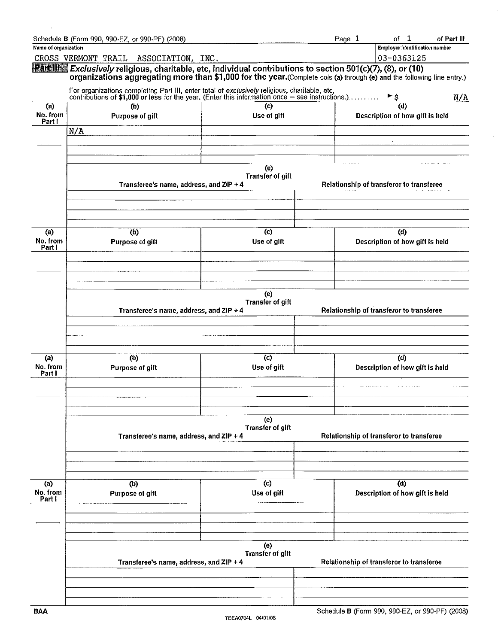|                          | Schedule B (Form 990, 990-EZ, or 990-PF) (2008)                                                                                                                                                                                         |                                | Page 1                                   | of<br>$\mathbf{1}$                       | of Part III |  |
|--------------------------|-----------------------------------------------------------------------------------------------------------------------------------------------------------------------------------------------------------------------------------------|--------------------------------|------------------------------------------|------------------------------------------|-------------|--|
| Name of organization     |                                                                                                                                                                                                                                         |                                |                                          | Employer identification number           |             |  |
|                          | CROSS VERMONT TRAIL<br>ASSOCIATION, INC.                                                                                                                                                                                                |                                |                                          | 03-0363125                               |             |  |
|                          | Partilli Exclusively religious, charitable, etc, individual contributions to section 501(c)(7), (8), or (10)<br>organizations aggregating more than \$1,000 for the year. (Complete cols (a) through (e) and the following line entry.) |                                |                                          |                                          |             |  |
|                          | For organizations completing Part III, enter total of exclusively religious, charitable, etc,<br>contributions of \$1,000 or less for the year. (Enter this information once - see instructions.)                                       |                                |                                          | ੈ ਵ                                      | N/A         |  |
| (a)                      | (b)                                                                                                                                                                                                                                     | (c)                            |                                          | (d)                                      |             |  |
| No. from<br>Part I       | Purpose of gift                                                                                                                                                                                                                         | Use of gift                    |                                          | Description of how gift is held          |             |  |
|                          | N/A                                                                                                                                                                                                                                     |                                |                                          |                                          |             |  |
|                          |                                                                                                                                                                                                                                         |                                |                                          |                                          |             |  |
|                          | Transferee's name, address, and ZIP + 4                                                                                                                                                                                                 | (e)<br><b>Transfer of gift</b> |                                          | Relationship of transferor to transferee |             |  |
|                          |                                                                                                                                                                                                                                         |                                |                                          |                                          |             |  |
| (a)                      | (b)                                                                                                                                                                                                                                     | (c)                            |                                          | (d)                                      |             |  |
| No. from<br>Part I       | Purpose of gift                                                                                                                                                                                                                         | Use of gift                    |                                          | Description of how gift is held          |             |  |
|                          |                                                                                                                                                                                                                                         |                                |                                          |                                          |             |  |
|                          | Transferee's name, address, and ZIP + 4                                                                                                                                                                                                 | (e)<br><b>Transfer of gift</b> | Relationship of transferor to transferee |                                          |             |  |
|                          |                                                                                                                                                                                                                                         |                                |                                          |                                          |             |  |
| (a)<br>No. from          | (b)<br>Purpose of gift                                                                                                                                                                                                                  | (c)<br>Use of gift             |                                          | (d)<br>Description of how gift is held   |             |  |
| Part I                   |                                                                                                                                                                                                                                         |                                |                                          |                                          |             |  |
|                          |                                                                                                                                                                                                                                         | (e)                            |                                          |                                          |             |  |
|                          | Transferee's name, address, and ZIP + 4                                                                                                                                                                                                 | <b>Transfer of gift</b>        |                                          | Relationship of transferor to transferee |             |  |
|                          |                                                                                                                                                                                                                                         |                                |                                          |                                          |             |  |
| (a)<br>No. from<br>Partl | (b)<br>Purpose of gift                                                                                                                                                                                                                  | (c)<br>Use of gift             |                                          | (d)<br>Description of how gift is held   |             |  |
|                          |                                                                                                                                                                                                                                         |                                |                                          |                                          |             |  |
|                          |                                                                                                                                                                                                                                         | (e)                            |                                          |                                          |             |  |
|                          | Transferee's name, address, and ZIP + 4                                                                                                                                                                                                 | <b>Transfer of gift</b>        | Relationship of transferor to transferee |                                          |             |  |
|                          |                                                                                                                                                                                                                                         |                                |                                          |                                          |             |  |
|                          |                                                                                                                                                                                                                                         |                                |                                          |                                          |             |  |

 $\hat{\mathbf{v}}$ 

 $\bar{z}$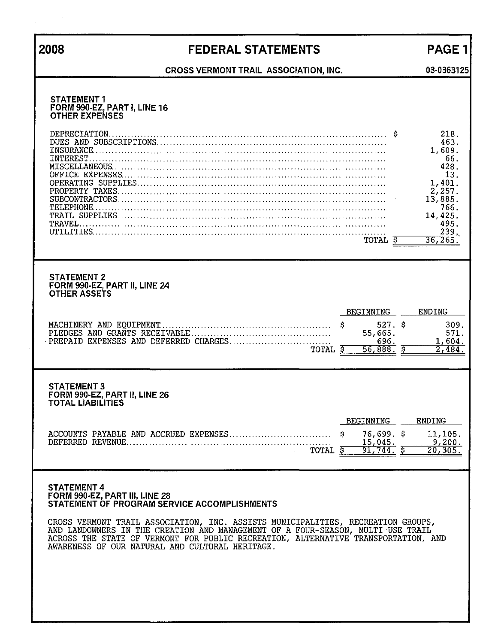# **2008** FEDERAL STATEMENTS

PAGE 1 **03-0363125** 

## **CROSS VERMONT TRAIL ASSOCIATION, INC.**

| <b>STATEMENT 1</b><br>FORM 990-EZ, PART I, LINE 16<br><b>OTHER EXPENSES</b><br>DEPRECIATION                                                                                                                                                                                                                                                                                                                          | 218.<br>-S<br>463.<br>1,609.<br>66.<br>428.<br>13.<br>1,401.<br>2,257.<br>13,885.<br>766.<br>14,425. |
|----------------------------------------------------------------------------------------------------------------------------------------------------------------------------------------------------------------------------------------------------------------------------------------------------------------------------------------------------------------------------------------------------------------------|------------------------------------------------------------------------------------------------------|
| TRAVEL.<br>TOTAL \$                                                                                                                                                                                                                                                                                                                                                                                                  | 495.<br>239.<br>36, 265.                                                                             |
| <b>STATEMENT 2</b><br>FORM 990-EZ, PART II, LINE 24<br><b>OTHER ASSETS</b>                                                                                                                                                                                                                                                                                                                                           |                                                                                                      |
| BEGINNING<br>55,665.<br>696.<br>TOTAL \$<br>$56,888.$ \$                                                                                                                                                                                                                                                                                                                                                             | <b>ENDING</b><br>$527.$ \$<br>309.<br>571.<br>1,604.<br>$\overline{2,484}$ .                         |
| <b>STATEMENT 3</b><br>FORM 990-EZ, PART II, LINE 26<br><b>TOTAL LIABILITIES</b>                                                                                                                                                                                                                                                                                                                                      |                                                                                                      |
| BEGINNING<br>S.<br>$76,699.$ \$<br>DEFERRED REVENUE.<br>15,045.<br>TOTAL \$<br>$91,744.$ \$                                                                                                                                                                                                                                                                                                                          | ENDING<br>11,105.<br>9,200.<br>20, 305                                                               |
| <b>STATEMENT 4</b><br>FORM 990-EZ, PART III, LINE 28<br>STATEMENT OF PROGRAM SERVICE ACCOMPLISHMENTS<br>CROSS VERMONT TRAIL ASSOCIATION, INC. ASSISTS MUNICIPALITIES, RECREATION GROUPS,<br>AND LANDOWNERS IN THE CREATION AND MANAGEMENT OF A FOUR-SEASON, MULTI-USE TRAIL<br>ACROSS THE STATE OF VERMONT FOR PUBLIC RECREATION, ALTERNATIVE TRANSPORTATION, AND<br>AWARENESS OF OUR NATURAL AND CULTURAL HERITAGE. |                                                                                                      |

 $\bar{z}$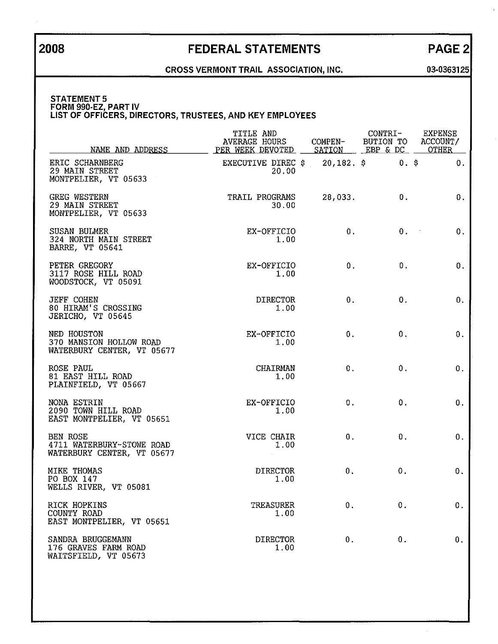# **2008** FEDERAL STATEMENTS PAGE 2

### **CROSS VERMONT TRAIL ASSOCIATION, INC. 03-0363125**

#### STATEMENT 5 **FORM 990-EZ, PART IV LIST OF OFFICERS, DIRECTORS, TRUSTEES, AND KEY EMPLOYEES**

| NAME AND ADDRESS                                                           | TITLE AND<br><b>AVERAGE HOURS</b><br>PER WEEK DEVOTED                           | COMPEN- | CONTRI-<br>SATION EBP & DC | <b>EXPENSE</b><br>BUTION TO ACCOUNT/<br><b>OTHER</b> |
|----------------------------------------------------------------------------|---------------------------------------------------------------------------------|---------|----------------------------|------------------------------------------------------|
| ERIC SCHARNBERG<br>29 MAIN STREET<br>MONTPELIER, VT 05633                  | EXECUTIVE DIREC $\frac{1}{20}$ , 182. $\frac{1}{20}$ 0. $\frac{1}{20}$<br>20.00 |         |                            | 0.                                                   |
| <b>GREG WESTERN</b><br>29 MAIN STREET<br>MONTPELIER, VT 05633              | TRAIL PROGRAMS<br>30.00                                                         | 28,033. | 0.                         | 0.                                                   |
| SUSAN BULMER<br>324 NORTH MAIN STREET<br><b>BARRE, VT 05641</b>            | EX-OFFICIO<br>1.00                                                              | 0.      | $0,$ $\blacksquare$        | 0.                                                   |
| PETER GREGORY<br>3117 ROSE HILL ROAD<br>WOODSTOCK, VT 05091                | EX-OFFICIO<br>1,00                                                              | 0.      | 0.                         | 0.                                                   |
| <b>JEFF COHEN</b><br>80 HIRAM'S CROSSING<br>JERICHO, VT 05645              | <b>DIRECTOR</b><br>1.00                                                         | 0.      | 0.                         | 0.                                                   |
| NED HOUSTON<br>370 MANSION HOLLOW ROAD<br>WATERBURY CENTER, VT 05677       | EX-OFFICIO<br>1.00                                                              | 0.      | 0.                         | 0.                                                   |
| ROSE PAUL<br>81 EAST HILL ROAD<br>PLAINFIELD, VT 05667                     | <b>CHAIRMAN</b><br>1.00                                                         | 0.      | 0.                         | 0.                                                   |
| NONA ESTRIN<br>2090 TOWN HILL ROAD<br>EAST MONTPELIER, VT 05651            | EX-OFFICIO<br>1.00                                                              | 0.      | 0.                         | 0.                                                   |
| <b>BEN ROSE</b><br>4711 WATERBURY-STOWE ROAD<br>WATERBURY CENTER, VT 05677 | VICE CHAIR<br>1.00                                                              | 0.      | 0.                         | 0.                                                   |
| MIKE THOMAS<br>PO BOX 147<br>WELLS RIVER, VT 05081                         | <b>DIRECTOR</b><br>1.00                                                         | 0.      | 0.                         | 0.                                                   |
| RICK HOPKINS<br>COUNTY ROAD<br>EAST MONTPELIER, VT 05651                   | <b>TREASURER</b><br>1.00                                                        | 0.      | 0.                         | 0.                                                   |
| SANDRA BRUGGEMANN<br>176 GRAVES FARM ROAD<br>WAITSFIELD, VT 05673          | <b>DIRECTOR</b><br>1.00                                                         | $0$ .   | 0.                         | 0.                                                   |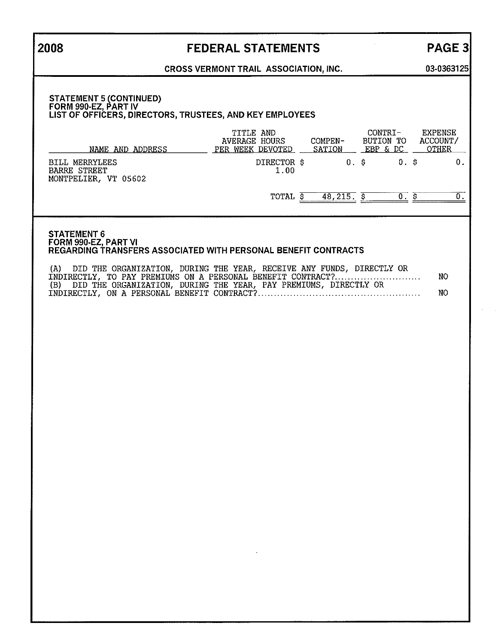## **2008**

## FEDERAL STATEMENTS

# PAGE 3

**03-0363125** 

### **CROSS VERMONT TRAIL ASSOCIATION, INC.**

#### **STATEMENT 5 (CONTINUED) FORM 990-EZ, PART IV LIST OF OFFICERS, DIRECTORS, TRUSTEES, AND KEY EMPLOYEES**

| NAME AND ADDRESS                                                     | TITLE AND<br><b>AVERAGE HOURS</b><br>WEEK DEVOTED<br><b>PER</b> | COMPEN-<br>SATION | CONTRI-<br>BUTION TO<br>EBP & DC | <b>EXPENSE</b><br>ACCOUNT/<br>OTHER |
|----------------------------------------------------------------------|-----------------------------------------------------------------|-------------------|----------------------------------|-------------------------------------|
| <b>BILL MERRYLEES</b><br><b>BARRE STREET</b><br>MONTPELIER, VT 05602 | DIRECTOR \$<br>1.00                                             | $0.$ $\delta$     | 0.                               |                                     |
|                                                                      | TOTAL                                                           | 48,215            |                                  |                                     |

#### STATEMENT 6 **FORM 990-EZ, PART VI REGARDING TRANSFERS ASSOCIATED WITH PERSONAL BENEFIT CONTRACTS**

| (A) DID THE ORGANIZATION, DURING THE YEAR, RECEIVE ANY FUNDS, DIRECTLY OR |      |
|---------------------------------------------------------------------------|------|
| INDIRECTLY, TO PAY PREMIUMS ON A PERSONAL BENEFIT CONTRACT?               | NO.  |
| (B) DID THE ORGANIZATION, DURING THE YEAR, PAY PREMIUMS, DIRECTLY OR      |      |
|                                                                           | NO . |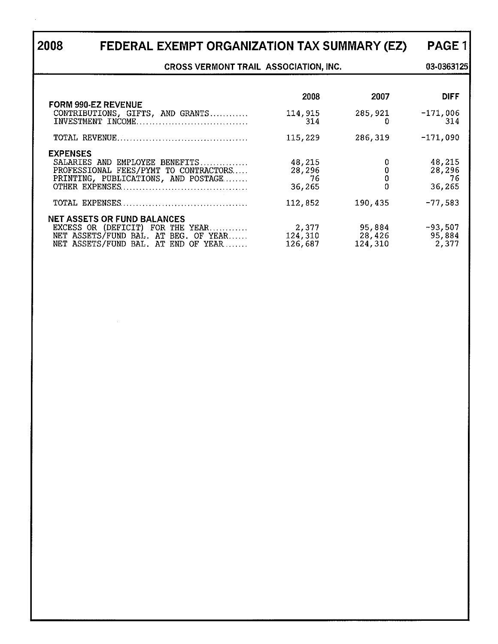# **2008 FEDERAL EXEMPT ORGANIZATION TAX SUMMARY (EZ)**

**CROSS VERMONT TRAIL ASSOCIATION, INC.** 

**03·0363125** 

PAGE 1

| <b>FORM 990-EZ REVENUE</b>                                                                                                                            | 2008                             | 2007                        | <b>DIFF</b>                       |
|-------------------------------------------------------------------------------------------------------------------------------------------------------|----------------------------------|-----------------------------|-----------------------------------|
| CONTRIBUTIONS, GIFTS, AND GRANTS                                                                                                                      | 114,915<br>314                   | 285,921                     | $-171,006$<br>314                 |
|                                                                                                                                                       | 115,229                          | 286,319                     | $-171,090$                        |
| <b>EXPENSES</b><br>SALARIES AND EMPLOYEE BENEFITS<br>PROFESSIONAL FEES/PYMT TO CONTRACTORS<br>PRINTING, PUBLICATIONS, AND POSTAGE                     | 48,215<br>28,296<br>76<br>36,265 | 0                           | 48,215<br>28,296<br>-76<br>36,265 |
|                                                                                                                                                       | 112,852                          | 190,435                     | $-77,583$                         |
| <b>NET ASSETS OR FUND BALANCES</b><br>EXCESS OR (DEFICIT) FOR THE YEAR<br>NET ASSETS/FUND BAL. AT BEG. OF YEAR<br>NET ASSETS/FUND BAL. AT END OF YEAR | 2,377<br>124,310<br>126,687      | 95,884<br>28,426<br>124,310 | $-93,507$<br>95,884<br>2,377      |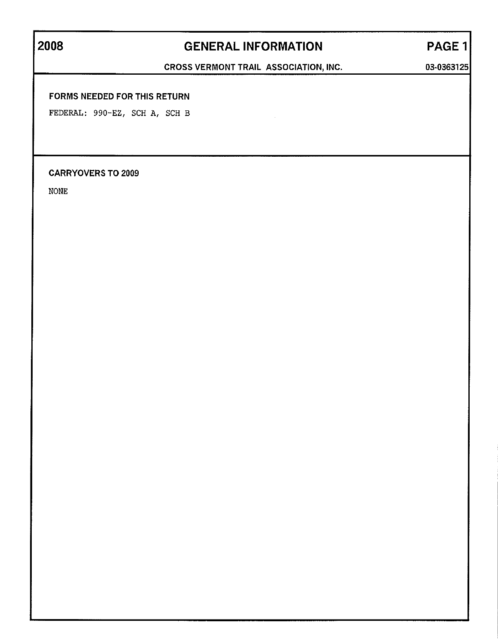# **2008 GENERAL INFORMATION** PAGE 1

CROSS VERMONT TRAIL ASSOCIATION, INC. 03-0363125

### FORMS NEEDED FOR THIS RETURN

FEDERAL: 990-EZ, SCH A, SCH B

### CARRYOVERS TO 2009

NONE